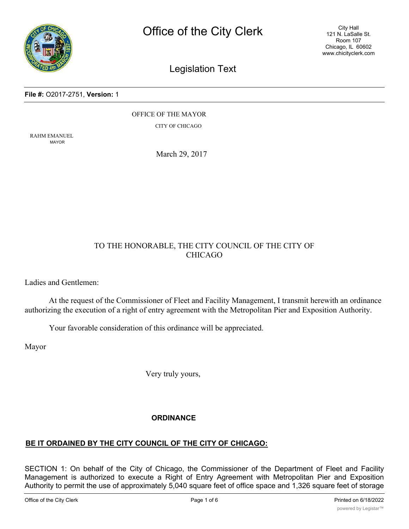

City Hall 121 N. LaSalle St. Room 107 Chicago, IL 60602 www.chicityclerk.com

# Legislation Text

#### **File #:** O2017-2751, **Version:** 1

OFFICE OF THE MAYOR

CITY OF CHICAGO

RAHM EMANUEL MAYOR

March 29, 2017

## TO THE HONORABLE, THE CITY COUNCIL OF THE CITY OF CHICAGO

Ladies and Gentlemen:

At the request of the Commissioner of Fleet and Facility Management, I transmit herewith an ordinance authorizing the execution of a right of entry agreement with the Metropolitan Pier and Exposition Authority.

Your favorable consideration of this ordinance will be appreciated.

Mayor

Very truly yours,

#### **ORDINANCE**

## **BE IT ORDAINED BY THE CITY COUNCIL OF THE CITY OF CHICAGO:**

SECTION 1: On behalf of the City of Chicago, the Commissioner of the Department of Fleet and Facility Management is authorized to execute a Right of Entry Agreement with Metropolitan Pier and Exposition Authority to permit the use of approximately 5,040 square feet of office space and 1,326 square feet of storage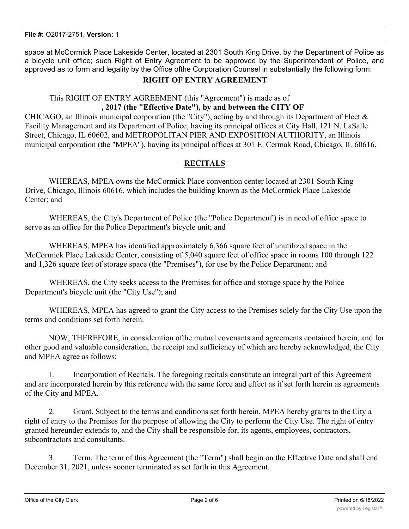**File #:** O2017-2751, **Version:** 1

space at McCormick Place Lakeside Center, located at 2301 South King Drive, by the Department of Police as a bicycle unit office; such Right of Entry Agreement to be approved by the Superintendent of Police, and approved as to form and legality by the Office ofthe Corporation Counsel in substantially the following form:

### **RIGHT OF ENTRY AGREEMENT**

## This RIGHT OF ENTRY AGREEMENT (this "Agreement") is made as of

#### **, 2017 (the "Effective Date"), by and between the CITY OF**

CHICAGO, an Illinois municipal corporation (the "City"), acting by and through its Department of Fleet & Facility Management and its Department of Police, having its principal offices at City Hall, 121 N. LaSalle Street, Chicago, IL 60602, and METROPOLITAN PIER AND EXPOSITION AUTHORITY, an Illinois municipal corporation (the "MPEA"), having its principal offices at 301 E. Cermak Road, Chicago, IL 60616.

#### **RECITALS**

WHEREAS, MPEA owns the McCormick Place convention center located at 2301 South King Drive, Chicago, Illinois 60616, which includes the building known as the McCormick Place Lakeside Center; and

WHEREAS, the City's Department of Police (the "Police Departmenf') is in need of office space to serve as an office for the Police Department's bicycle unit; and

WHEREAS, MPEA has identified approximately 6,366 square feet of unutilized space in the McCormick Place Lakeside Center, consisting of 5,040 square feet of office space in rooms 100 through 122 and 1,326 square feet of storage space (the "Premises"), for use by the Police Department; and

WHEREAS, the City seeks access to the Premises for office and storage space by the Police Department's bicycle unit (the "City Use"); and

WHEREAS, MPEA has agreed to grant the City access to the Premises solely for the City Use upon the terms and conditions set forth herein.

NOW, THEREFORE, in consideration ofthe mutual covenants and agreements contained herein, and for other good and valuable consideration, the receipt and sufficiency of which are hereby acknowledged, the City and MPEA agree as follows:

1. Incorporation of Recitals. The foregoing recitals constitute an integral part of this Agreement and are incorporated herein by this reference with the same force and effect as if set forth herein as agreements of the City and MPEA.

2. Grant. Subject to the terms and conditions set forth herein, MPEA hereby grants to the City a right of entry to the Premises for the purpose of allowing the City to perform the City Use. The right of entry granted hereunder extends to, and the City shall be responsible for, its agents, employees, contractors, subcontractors and consultants.

3. Term. The term of this Agreement (the "Term") shall begin on the Effective Date and shall end December 31, 2021, unless sooner terminated as set forth in this Agreement.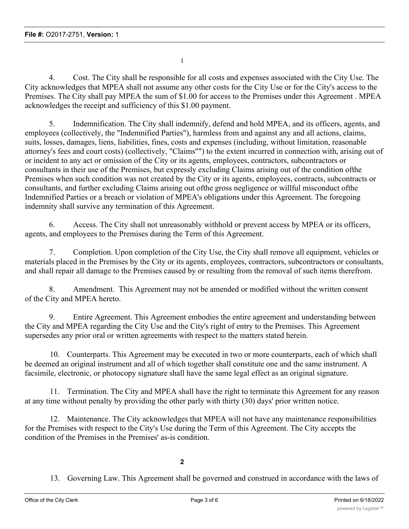1

4. Cost. The City shall be responsible for all costs and expenses associated with the City Use. The City acknowledges that MPEA shall not assume any other costs for the City Use or for the City's access to the Premises. The City shall pay MPEA the sum of \$1.00 for access to the Premises under this Agreement . MPEA acknowledges the receipt and sufficiency of this \$1.00 payment.

5. Indemnification. The City shall indemnify, defend and hold MPEA, and its officers, agents, and employees (collectively, the "Indemnified Parties"), harmless from and against any and all actions, claims, suits, losses, damages, liens, liabilities, fines, costs and expenses (including, without limitation, reasonable attorney's fees and court costs) (collectively, "Claims"") to the extent incurred in connection with, arising out of or incident to any act or omission of the City or its agents, employees, contractors, subcontractors or consultants in their use of the Premises, but expressly excluding Claims arising out of the condition ofthe Premises when such condition was not created by the City or its agents, employees, contracts, subcontracts or consultants, and further excluding Claims arising out ofthe gross negligence or willful misconduct ofthe Indemnified Parties or a breach or violation of MPEA's obligations under this Agreement. The foregoing indemnity shall survive any termination of this Agreement.

6. Access. The City shall not unreasonably withhold or prevent access by MPEA or its officers, agents, and employees to the Premises during the Term of this Agreement.

7. Completion. Upon completion of the City Use, the City shall remove all equipment, vehicles or materials placed in the Premises by the City or its agents, employees, contractors, subcontractors or consultants, and shall repair all damage to the Premises caused by or resulting from the removal of such items therefrom.

8. Amendment. This Agreement may not be amended or modified without the written consent of the City and MPEA hereto.

9. Entire Agreement. This Agreement embodies the entire agreement and understanding between the City and MPEA regarding the City Use and the City's right of entry to the Premises. This Agreement supersedes any prior oral or written agreements with respect to the matters stated herein.

10. Counterparts. This Agreement may be executed in two or more counterparts, each of which shall be deemed an original instrument and all of which together shall constitute one and the same instrument. A facsimile, electronic, or photocopy signature shall have the same legal effect as an original signature.

11. Termination. The City and MPEA shall have the right to terminate this Agreement for any reason at any time without penalty by providing the other parly with thirty (30) days' prior written notice.

12. Maintenance. The City acknowledges that MPEA will not have any maintenance responsibilities for the Premises with respect to the City's Use during the Term of this Agreement. The City accepts the condition of the Premises in the Premises' as-is condition.

## **2**

13. Governing Law. This Agreement shall be governed and construed in accordance with the laws of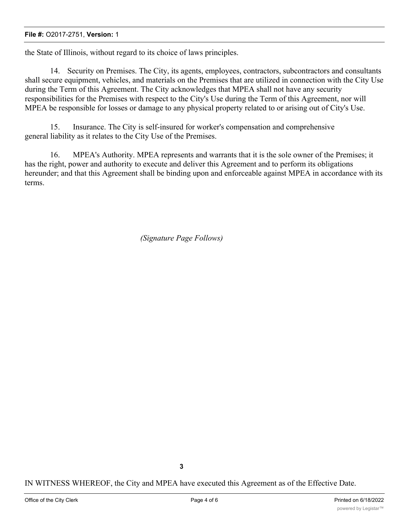#### **File #:** O2017-2751, **Version:** 1

the State of Illinois, without regard to its choice of laws principles.

14. Security on Premises. The City, its agents, employees, contractors, subcontractors and consultants shall secure equipment, vehicles, and materials on the Premises that are utilized in connection with the City Use during the Term of this Agreement. The City acknowledges that MPEA shall not have any security responsibilities for the Premises with respect to the City's Use during the Term of this Agreement, nor will MPEA be responsible for losses or damage to any physical property related to or arising out of City's Use.

15. Insurance. The City is self-insured for worker's compensation and comprehensive general liability as it relates to the City Use of the Premises.

16. MPEA's Authority. MPEA represents and warrants that it is the sole owner of the Premises; it has the right, power and authority to execute and deliver this Agreement and to perform its obligations hereunder; and that this Agreement shall be binding upon and enforceable against MPEA in accordance with its terms.

*(Signature Page Follows)*

IN WITNESS WHEREOF, the City and MPEA have executed this Agreement as of the Effective Date.

**3**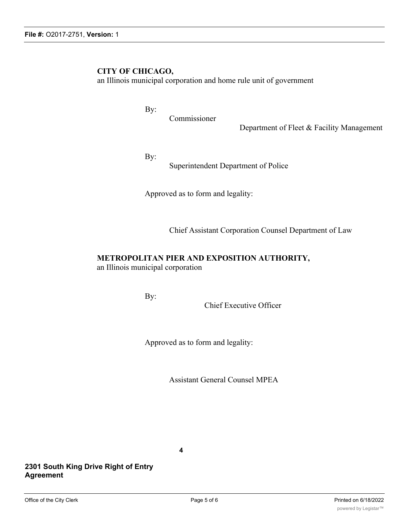# **CITY OF CHICAGO,**

an Illinois municipal corporation and home rule unit of government

By:

Commissioner

Department of Fleet & Facility Management

By:

Superintendent Department of Police

Approved as to form and legality:

Chief Assistant Corporation Counsel Department of Law

### **METROPOLITAN PIER AND EXPOSITION AUTHORITY,**

an Illinois municipal corporation

By:

Chief Executive Officer

Approved as to form and legality:

Assistant General Counsel MPEA

**4**

**2301 South King Drive Right of Entry Agreement**